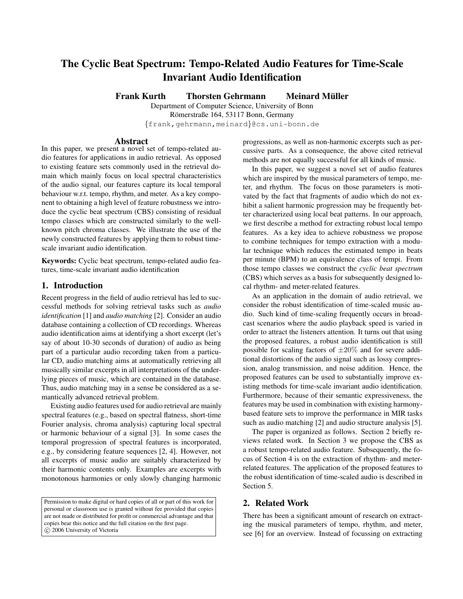# **The Cyclic Beat Spectrum: Tempo-Related Audio Features for Time-Scale Invariant Audio Identification**

**Frank Kurth Thorsten Gehrmann Meinard Muller ¨**

Department of Computer Science, University of Bonn Römerstraße 164, 53117 Bonn, Germany {frank,gehrmann,meinard}@cs.uni-bonn.de

## **Abstract**

In this paper, we present a novel set of tempo-related audio features for applications in audio retrieval. As opposed to existing feature sets commonly used in the retrieval domain which mainly focus on local spectral characteristics of the audio signal, our features capture its local temporal behaviour w.r.t. tempo, rhythm, and meter. As a key component to obtaining a high level of feature robustness we introduce the cyclic beat spectrum (CBS) consisting of residual tempo classes which are constructed similarly to the wellknown pitch chroma classes. We illustrate the use of the newly constructed features by applying them to robust timescale invariant audio identification.

**Keywords:** Cyclic beat spectrum, tempo-related audio features, time-scale invariant audio identification

# **1. Introduction**

Recent progress in the field of audio retrieval has led to successful methods for solving retrieval tasks such as *audio identification* [1] and *audio matching* [2]. Consider an audio database containing a collection of CD recordings. Whereas audio identification aims at identifying a short excerpt (let's say of about 10-30 seconds of duration) of audio as being part of a particular audio recording taken from a particular CD, audio matching aims at automatically retrieving all musically similar excerpts in all interpretations of the underlying pieces of music, which are contained in the database. Thus, audio matching may in a sense be considered as a semantically advanced retrieval problem.

Existing audio features used for audio retrieval are mainly spectral features (e.g., based on spectral flatness, short-time Fourier analysis, chroma analysis) capturing local spectral or harmonic behaviour of a signal [3]. In some cases the temporal progression of spectral features is incorporated, e.g., by considering feature sequences [2, 4]. However, not all excerpts of music audio are suitably characterized by their harmonic contents only. Examples are excerpts with monotonous harmonies or only slowly changing harmonic

Permission to make digital or hard copies of all or part of this work for personal or classroom use is granted without fee provided that copies are not made or distributed for profit or commercial advantage and that copies bear this notice and the full citation on the first page. c 2006 University of Victoria

progressions, as well as non-harmonic excerpts such as percussive parts. As a consequence, the above cited retrieval methods are not equally successful for all kinds of music.

In this paper, we suggest a novel set of audio features which are inspired by the musical parameters of tempo, meter, and rhythm. The focus on those parameters is motivated by the fact that fragments of audio which do not exhibit a salient harmonic progression may be frequently better characterized using local beat patterns. In our approach, we first describe a method for extracting robust local tempo features. As a key idea to achieve robustness we propose to combine techniques for tempo extraction with a modular technique which reduces the estimated tempo in beats per minute (BPM) to an equivalence class of tempi. From those tempo classes we construct the *cyclic beat spectrum* (CBS) which serves as a basis for subsequently designed local rhythm- and meter-related features.

As an application in the domain of audio retrieval, we consider the robust identification of time-scaled music audio. Such kind of time-scaling frequently occurs in broadcast scenarios where the audio playback speed is varied in order to attract the listeners attention. It turns out that using the proposed features, a robust audio identification is still possible for scaling factors of  $\pm 20\%$  and for severe additional distortions of the audio signal such as lossy compression, analog transmission, and noise addition. Hence, the proposed features can be used to substantially improve existing methods for time-scale invariant audio identification. Furthermore, because of their semantic expressiveness, the features may be used in combination with existing harmonybased feature sets to improve the performance in MIR tasks such as audio matching [2] and audio structure analysis [5].

The paper is organized as follows. Section 2 briefly reviews related work. In Section 3 we propose the CBS as a robust tempo-related audio feature. Subsequently, the focus of Section 4 is on the extraction of rhythm- and meterrelated features. The application of the proposed features to the robust identification of time-scaled audio is described in Section 5.

# **2. Related Work**

There has been a significant amount of research on extracting the musical parameters of tempo, rhythm, and meter, see [6] for an overview. Instead of focussing on extracting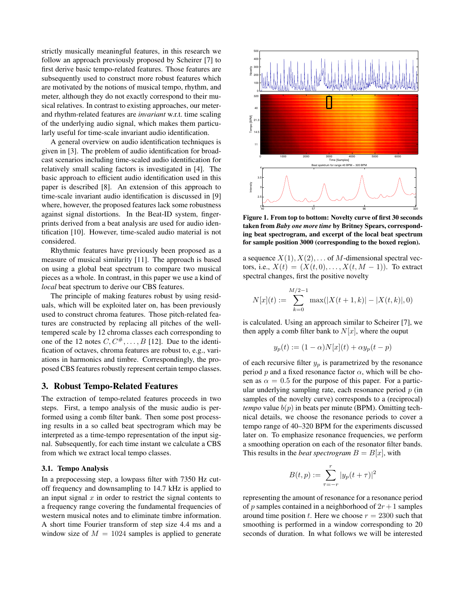strictly musically meaningful features, in this research we follow an approach previously proposed by Scheirer [7] to first derive basic tempo-related features. Those features are subsequently used to construct more robust features which are motivated by the notions of musical tempo, rhythm, and meter, although they do not exactly correspond to their musical relatives. In contrast to existing approaches, our meterand rhythm-related features are *invariant* w.r.t. time scaling of the underlying audio signal, which makes them particularly useful for time-scale invariant audio identification.

A general overview on audio identification techniques is given in [3]. The problem of audio identification for broadcast scenarios including time-scaled audio identification for relatively small scaling factors is investigated in [4]. The basic approach to efficient audio identification used in this paper is described [8]. An extension of this approach to time-scale invariant audio identification is discussed in [9] where, however, the proposed features lack some robustness against signal distortions. In the Beat-ID system, fingerprints derived from a beat analysis are used for audio identification [10]. However, time-scaled audio material is not considered.

Rhythmic features have previously been proposed as a measure of musical similarity [11]. The approach is based on using a global beat spectrum to compare two musical pieces as a whole. In contrast, in this paper we use a kind of *local* beat spectrum to derive our CBS features.

The principle of making features robust by using residuals, which will be exploited later on, has been previously used to construct chroma features. Those pitch-related features are constructed by replacing all pitches of the welltempered scale by 12 chroma classes each corresponding to one of the 12 notes  $C, C^*, \ldots, B$  [12]. Due to the identification of octaves, chroma features are robust to, e.g., variations in harmonics and timbre. Correspondingly, the proposed CBS features robustly represent certain tempo classes.

#### **3. Robust Tempo-Related Features**

The extraction of tempo-related features proceeds in two steps. First, a tempo analysis of the music audio is performed using a comb filter bank. Then some post processing results in a so called beat spectrogram which may be interpreted as a time-tempo representation of the input signal. Subsequently, for each time instant we calculate a CBS from which we extract local tempo classes.

#### **3.1. Tempo Analysis**

In a prepocessing step, a lowpass filter with 7350 Hz cutoff frequency and downsampling to 14.7 kHz is applied to an input signal  $x$  in order to restrict the signal contents to a frequency range covering the fundamental frequencies of western musical notes and to eliminate timbre information. A short time Fourier transform of step size 4.4 ms and a window size of  $M = 1024$  samples is applied to generate



**Figure 1. From top to bottom: Novelty curve of first 30 seconds taken from** *Baby one more time* **by Britney Spears, corresponding beat spectrogram, and excerpt of the local beat spectrum for sample position 3000 (corresponding to the boxed region).**

a sequence  $X(1), X(2), \ldots$  of M-dimensional spectral vectors, i.e.,  $X(t) = (X(t, 0), \dots, X(t, M - 1))$ . To extract spectral changes, first the positive novelty

$$
N[x](t) := \sum_{k=0}^{M/2-1} \max(|X(t+1, k)| - |X(t, k)|, 0)
$$

is calculated. Using an approach similar to Scheirer [7], we then apply a comb filter bank to  $N[x]$ , where the ouput

$$
y_p(t) := (1 - \alpha)N[x](t) + \alpha y_p(t - p)
$$

of each recursive filter  $y_p$  is parametrized by the resonance period p and a fixed resonance factor  $\alpha$ , which will be chosen as  $\alpha = 0.5$  for the purpose of this paper. For a particular underlying sampling rate, each resonance period  $p$  (in samples of the novelty curve) corresponds to a (reciprocal) *tempo* value  $b(p)$  in beats per minute (BPM). Omitting technical details, we choose the resonance periods to cover a tempo range of 40–320 BPM for the experiments discussed later on. To emphasize resonance frequencies, we perform a smoothing operation on each of the resonator filter bands. This results in the *beat spectrogram*  $B = B[x]$ , with

$$
B(t, p) := \sum_{\tau = -r}^{r} |y_p(t + \tau)|^2
$$

representing the amount of resonance for a resonance period of p samples contained in a neighborhood of  $2r + 1$  samples around time position t. Here we choose  $r = 2300$  such that smoothing is performed in a window corresponding to 20 seconds of duration. In what follows we will be interested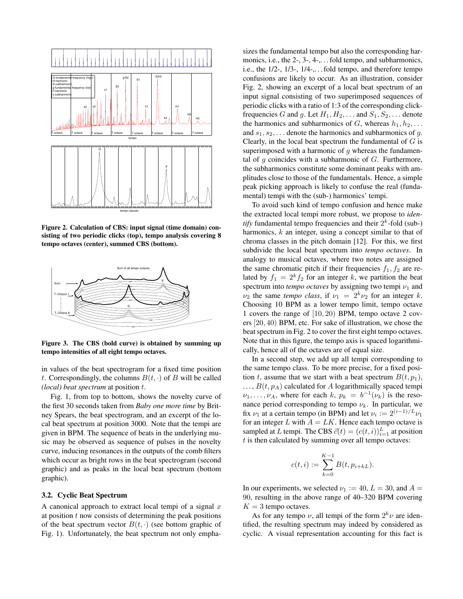

**Figure 2. Calculation of CBS: input signal (time domain) consisting of two periodic clicks (top), tempo analysis covering 8 tempo octaves (center), summed CBS (bottom).**



**Figure 3. The CBS (bold curve) is obtained by summing up tempo intensities of all eight tempo octaves.**

in values of the beat spectrogram for a fixed time position t. Correspondingly, the columns  $B(t, \cdot)$  of B will be called *(local) beat spectrum* at position t.

Fig. 1, from top to bottom, shows the novelty curve of the first 30 seconds taken from *Baby one more time* by Britney Spears, the beat spectrogram, and an excerpt of the local beat spectrum at position 3000. Note that the tempi are given in BPM. The sequence of beats in the underlying music may be observed as sequence of pulses in the novelty curve, inducing resonances in the outputs of the comb filters which occur as bright rows in the beat spectrogram (second graphic) and as peaks in the local beat spectrum (bottom graphic).

#### **3.2. Cyclic Beat Spectrum**

A canonical approach to extract local tempi of a signal  $x$ at position  $t$  now consists of determining the peak positions of the beat spectrum vector  $B(t, \cdot)$  (see bottom graphic of Fig. 1). Unfortunately, the beat spectrum not only empha-

sizes the fundamental tempo but also the corresponding harmonics, i.e., the 2-, 3-, 4-,... fold tempo, and subharmonics, i.e., the 1/2-, 1/3-, 1/4-,. . . fold tempo, and therefore tempo confusions are likely to occur. As an illustration, consider Fig. 2, showing an excerpt of a local beat spectrum of an input signal consisting of two superimposed sequences of periodic clicks with a ratio of 1:3 of the corresponding clickfrequencies G and g. Let  $H_1, H_2, \ldots$  and  $S_1, S_2, \ldots$  denote the harmonics and subharmonics of G, whereas  $h_1, h_2, \ldots$ and  $s_1, s_2, \ldots$  denote the harmonics and subharmonics of g. Clearly, in the local beat spectrum the fundamental of  $G$  is superimposed with a harmonic of  $q$  whereas the fundamental of  $q$  coincides with a subharmonic of  $G$ . Furthermore, the subharmonics constitute some dominant peaks with amplitudes close to those of the fundamentals. Hence, a simple peak picking approach is likely to confuse the real (fundamental) tempi with the (sub-) harmonics' tempi.

To avoid such kind of tempo confusion and hence make the extracted local tempi more robust, we propose to *identify* fundamental tempo frequencies and their  $2<sup>k</sup>$ -fold (sub-) harmonics, k an integer, using a concept similar to that of chroma classes in the pitch domain [12]. For this, we first subdivide the local beat spectrum into *tempo octaves*. In analogy to musical octaves, where two notes are assigned the same chromatic pitch if their frequencies  $f_1, f_2$  are related by  $f_1 = 2<sup>k</sup> f_2$  for an integer k, we partition the beat spectrum into  $tempo$  *octaves* by assigning two tempi  $\nu_1$  and  $\nu_2$  the same *tempo class*, if  $\nu_1 = 2^k \nu_2$  for an integer k. Choosing 10 BPM as a lower tempo limit, tempo octave 1 covers the range of [10, 20) BPM, tempo octave 2 covers [20, 40) BPM, etc. For sake of illustration, we chose the beat spectrum in Fig. 2 to cover the first eight tempo octaves. Note that in this figure, the tempo axis is spaced logarithmically, hence all of the octaves are of equal size.

In a second step, we add up all tempi corresponding to the same tempo class. To be more precise, for a fixed position t, assume that we start with a beat spectrum  $B(t, p_1)$ ,  $\ldots$ ,  $B(t, p_A)$  calculated for A logarithmically spaced tempi  $\nu_1, \ldots, \nu_A$ , where for each  $k, p_k = b^{-1}(\nu_k)$  is the resonance period corresponding to tempo  $\nu_k$ . In particular, we fix  $\nu_1$  at a certain tempo (in BPM) and let  $\nu_i := 2^{(i-1)/L} \nu_1$ for an integer L with  $A = LK$ . Hence each tempo octave is sampled at L tempi. The CBS  $\vec{c}(t) = (c(t, i))_{i=1}^L$  at position  $t$  is then calculated by summing over all tempo octaves:

$$
c(t,i) := \sum_{k=0}^{K-1} B(t, p_{i+kL}).
$$

In our experiments, we selected  $\nu_1 := 40, L = 30$ , and  $A =$ 90, resulting in the above range of 40–320 BPM covering  $K = 3$  tempo octaves.

As for any tempo  $\nu$ , all tempi of the form  $2^k \nu$  are identified, the resulting spectrum may indeed by considered as cyclic. A visual representation accounting for this fact is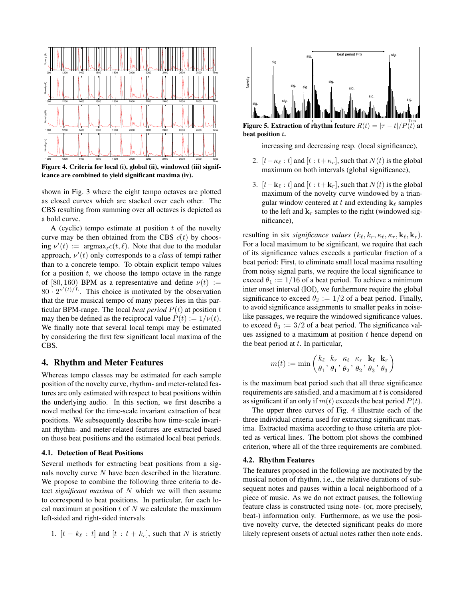

**Figure 4. Criteria for local (i), global (ii), windowed (iii) significance are combined to yield significant maxima (iv).**

shown in Fig. 3 where the eight tempo octaves are plotted as closed curves which are stacked over each other. The CBS resulting from summing over all octaves is depicted as a bold curve.

A (cyclic) tempo estimate at position  $t$  of the novelty curve may be then obtained from the CBS  $\vec{c}(t)$  by choosing  $\nu'(t) := \text{argmax}_{\ell} c(t, \ell)$ . Note that due to the modular approach,  $\nu'(t)$  only corresponds to a *class* of tempi rather than to a concrete tempo. To obtain explicit tempo values for a position  $t$ , we choose the tempo octave in the range of [80, 160) BPM as a representative and define  $\nu(t) :=$  $80 \cdot 2^{\nu'(t)/L}$ . This choice is motivated by the observation that the true musical tempo of many pieces lies in this particular BPM-range. The local *beat period*  $P(t)$  at position t may then be defined as the reciprocal value  $P(t) := 1/\nu(t)$ . We finally note that several local tempi may be estimated by considering the first few significant local maxima of the CBS.

## **4. Rhythm and Meter Features**

Whereas tempo classes may be estimated for each sample position of the novelty curve, rhythm- and meter-related features are only estimated with respect to beat positions within the underlying audio. In this section, we first describe a novel method for the time-scale invariant extraction of beat positions. We subsequently describe how time-scale invariant rhythm- and meter-related features are extracted based on those beat positions and the estimated local beat periods.

#### **4.1. Detection of Beat Positions**

Several methods for extracting beat positions from a signals novelty curve N have been described in the literature. We propose to combine the following three criteria to detect *significant maxima* of N which we will then assume to correspond to beat positions. In particular, for each local maximum at position  $t$  of  $N$  we calculate the maximum left-sided and right-sided intervals

1. 
$$
[t - k_{\ell} : t]
$$
 and  $[t : t + k_r]$ , such that N is strictly



**Figure 5. Extraction of rhythm feature**  $R(t) = |\tau - t|/P(t)$  at **beat position** t**.**

increasing and decreasing resp. (local significance),

- 2.  $[t-\kappa_\ell:t]$  and  $[t:t+\kappa_r]$ , such that  $N(t)$  is the global maximum on both intervals (global significance),
- 3.  $[t-\mathbf{k}_{\ell}:t]$  and  $[t:t+\mathbf{k}_{r}]$ , such that  $N(t)$  is the global maximum of the novelty curve windowed by a triangular window centered at t and extending  $\mathbf{k}_{\ell}$  samples to the left and  $\mathbf{k}_r$  samples to the right (windowed significance),

resulting in six *significance values*  $(k_{\ell}, k_{r}, \kappa_{\ell}, \kappa_{r}, \mathbf{k}_{\ell}, \mathbf{k}_{r})$ . For a local maximum to be significant, we require that each of its significance values exceeds a particular fraction of a beat period: First, to eliminate small local maxima resulting from noisy signal parts, we require the local significance to exceed  $\theta_1 := 1/16$  of a beat period. To achieve a minimum inter onset interval (IOI), we furthermore require the global significance to exceed  $\theta_2 := 1/2$  of a beat period. Finally, to avoid significance assignments to smaller peaks in noiselike passages, we require the windowed significance values. to exceed  $\theta_3 := 3/2$  of a beat period. The significance values assigned to a maximum at position  $t$  hence depend on the beat period at  $t$ . In particular,

$$
m(t):=\min\left(\frac{k_\ell}{\theta_1},\frac{k_r}{\theta_1},\frac{\kappa_\ell}{\theta_2},\frac{\kappa_r}{\theta_2},\frac{\mathbf{k}_\ell}{\theta_3},\frac{\mathbf{k}_r}{\theta_3}\right)
$$

is the maximum beat period such that all three significance requirements are satisfied, and a maximum at  $t$  is considered as significant if an only if  $m(t)$  exceeds the beat period  $P(t)$ .

The upper three curves of Fig. 4 illustrate each of the three individual criteria used for extracting significant maxima. Extracted maxima according to those criteria are plotted as vertical lines. The bottom plot shows the combined criterion, where all of the three requirements are combined.

#### **4.2. Rhythm Features**

The features proposed in the following are motivated by the musical notion of rhythm, i.e., the relative durations of subsequent notes and pauses within a local neighborhood of a piece of music. As we do not extract pauses, the following feature class is constructed using note- (or, more precisely, beat-) information only. Furthermore, as we use the positive novelty curve, the detected significant peaks do more likely represent onsets of actual notes rather then note ends.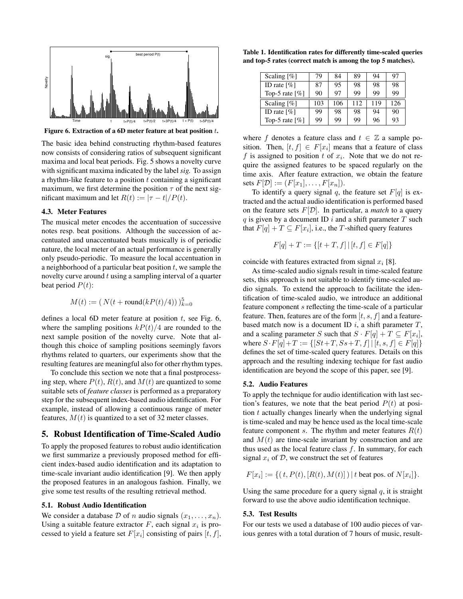

**Figure 6. Extraction of a 6D meter feature at beat position** t**.**

The basic idea behind constructing rhythm-based features now consists of considering ratios of subsequent significant maxima and local beat periods. Fig. 5 shows a novelty curve with significant maxima indicated by the label *sig.* To assign a rhythm-like feature to a position  $t$  containing a significant maximum, we first determine the position  $\tau$  of the next significant maximum and let  $R(t) := |\tau - t|/P(t)$ .

#### **4.3. Meter Features**

The musical meter encodes the accentuation of successive notes resp. beat positions. Although the succession of accentuated and unaccentuated beats musically is of periodic nature, the local meter of an actual performance is generally only pseudo-periodic. To measure the local accentuation in a neighborhood of a particular beat position  $t$ , we sample the novelty curve around  $t$  using a sampling interval of a quarter beat period  $P(t)$ :

$$
M(t) := (N(t + round(kP(t)/4)))_{k=0}^{5}
$$

defines a local 6D meter feature at position  $t$ , see Fig. 6, where the sampling positions  $kP(t)/4$  are rounded to the next sample position of the novelty curve. Note that although this choice of sampling positions seemingly favors rhythms related to quarters, our experiments show that the resulting features are meaningful also for other rhythm types.

To conclude this section we note that a final postprocessing step, where  $P(t)$ ,  $R(t)$ , and  $M(t)$  are quantized to some suitable sets of *feature classes* is performed as a preparatory step for the subsequent index-based audio identification. For example, instead of allowing a continuous range of meter features,  $M(t)$  is quantized to a set of 32 meter classes.

# **5. Robust Identification of Time-Scaled Audio**

To apply the proposed features to robust audio identification we first summarize a previously proposed method for efficient index-based audio identification and its adaptation to time-scale invariant audio identification [9]. We then apply the proposed features in an analogous fashion. Finally, we give some test results of the resulting retrieval method.

#### **5.1. Robust Audio Identification**

We consider a database  $D$  of n audio signals  $(x_1, \ldots, x_n)$ . Using a suitable feature extractor  $F$ , each signal  $x_i$  is processed to yield a feature set  $F[x_i]$  consisting of pairs  $[t, f]$ ,

**Table 1. Identification rates for differently time-scaled queries and top-5 rates (correct match is among the top 5 matches).**

| Scaling $[\%]$    | 79  | 84  | 89  | 94  | 97  |
|-------------------|-----|-----|-----|-----|-----|
| ID rate $[\%]$    | 87  | 95  | 98  | 98  | 98  |
| Top-5 rate $[\%]$ | 90  | 97  | 99  | 99  | 99  |
|                   |     |     |     |     |     |
| Scaling $[\%]$    | 103 | 106 | 112 | 119 | 126 |
| ID rate $[\%]$    | 99  | 98  | 98  | 94  | 90  |

where f denotes a feature class and  $t \in \mathbb{Z}$  a sample position. Then,  $[t, f] \in F[x_i]$  means that a feature of class f is assigned to position t of  $x_i$ . Note that we do not require the assigned features to be spaced regularly on the time axis. After feature extraction, we obtain the feature sets  $F[\mathcal{D}] := (F[x_1], \ldots, F[x_n]).$ 

To identify a query signal q, the feature set  $F[q]$  is extracted and the actual audio identification is performed based on the feature sets  $F[D]$ . In particular, a *match* to a query  $q$  is given by a document ID  $i$  and a shift parameter  $T$  such that  $F[q] + T \subseteq F[x_i],$  i.e., the  $T$ -shifted query features

$$
F[q] + T := \{ [t + T, f] \mid [t, f] \in F[q] \}
$$

coincide with features extracted from signal  $x_i$  [8].

As time-scaled audio signals result in time-scaled feature sets, this approach is not suitable to identify time-scaled audio signals. To extend the approach to facilitate the identification of time-scaled audio, we introduce an additional feature component s reflecting the time-scale of a particular feature. Then, features are of the form  $[t, s, f]$  and a featurebased match now is a document ID  $i$ , a shift parameter  $T$ , and a scaling parameter S such that  $S \cdot F[q] + T \subseteq F[x_i]$ , where  $S \cdot F[q] + T := \{ [St + T, Ss + T, f] \mid [t, s, f] \in F[q] \}$ defines the set of time-scaled query features. Details on this approach and the resulting indexing techique for fast audio identification are beyond the scope of this paper, see [9].

#### **5.2. Audio Features**

To apply the technique for audio identification with last section's features, we note that the beat period  $P(t)$  at position  $t$  actually changes linearly when the underlying signal is time-scaled and may be hence used as the local time-scale feature component s. The rhythm and meter features  $R(t)$ and  $M(t)$  are time-scale invariant by construction and are thus used as the local feature class  $f$ . In summary, for each signal  $x_i$  of  $D$ , we construct the set of features

$$
F[x_i] := \{ (t, P(t), [R(t), M(t)] ) \mid t \text{ beat pos. of } N[x_i] \}.
$$

Using the same procedure for a query signal  $q$ , it is straight forward to use the above audio identification technique.

#### **5.3. Test Results**

For our tests we used a database of 100 audio pieces of various genres with a total duration of 7 hours of music, result-